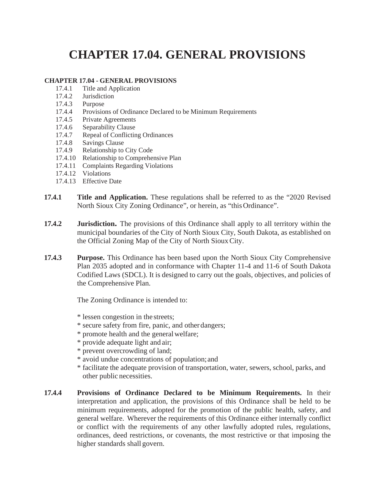## **CHAPTER 17.04. GENERAL PROVISIONS**

## **CHAPTER 17.04 - GENERAL PROVISIONS**

- 17.4.1 Title and Application<br>17.4.2 Jurisdiction
- **Jurisdiction**
- 17.4.3 Purpose
- 17.4.4 Provisions of Ordinance Declared to be Minimum Requirements
- 17.4.5 Private Agreements
- 17.4.6 Separability Clause
- 17.4.7 Repeal of Conflicting Ordinances
- 17.4.8 Savings Clause
- 17.4.9 Relationship to City Code
- 17.4.10 Relationship to Comprehensive Plan
- 17.4.11 Complaints Regarding Violations
- 17.4.12 Violations
- 17.4.13 Effective Date
- **17.4.1 Title and Application.** These regulations shall be referred to as the "2020 Revised North Sioux City Zoning Ordinance", or herein, as "this Ordinance".
- **17.4.2 Jurisdiction.** The provisions of this Ordinance shall apply to all territory within the municipal boundaries of the City of North Sioux City, South Dakota, as established on the Official Zoning Map of the City of North Sioux City.
- **17.4.3 Purpose.** This Ordinance has been based upon the North Sioux City Comprehensive Plan 2035 adopted and in conformance with Chapter 11-4 and 11-6 of South Dakota Codified Laws (SDCL). It is designed to carry out the goals, objectives, and policies of the Comprehensive Plan.

The Zoning Ordinance is intended to:

- \* lessen congestion in the streets;
- \* secure safety from fire, panic, and otherdangers;
- \* promote health and the generalwelfare;
- \* provide adequate light and air;
- \* prevent overcrowding of land;
- \* avoid undue concentrations of population;and
- \* facilitate the adequate provision of transportation, water, sewers, school, parks, and other public necessities.
- **17.4.4 Provisions of Ordinance Declared to be Minimum Requirements.** In their interpretation and application, the provisions of this Ordinance shall be held to be minimum requirements, adopted for the promotion of the public health, safety, and general welfare. Wherever the requirements of this Ordinance either internally conflict or conflict with the requirements of any other lawfully adopted rules, regulations, ordinances, deed restrictions, or covenants, the most restrictive or that imposing the higher standards shall govern.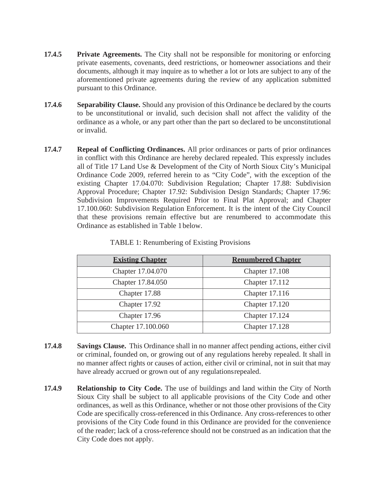- **17.4.5 Private Agreements.** The City shall not be responsible for monitoring or enforcing private easements, covenants, deed restrictions, or homeowner associations and their documents, although it may inquire as to whether a lot or lots are subject to any of the aforementioned private agreements during the review of any application submitted pursuant to this Ordinance.
- **17.4.6 Separability Clause.** Should any provision of this Ordinance be declared by the courts to be unconstitutional or invalid, such decision shall not affect the validity of the ordinance as a whole, or any part other than the part so declared to be unconstitutional or invalid.
- **17.4.7 Repeal of Conflicting Ordinances.** All prior ordinances or parts of prior ordinances in conflict with this Ordinance are hereby declared repealed. This expressly includes all of Title 17 Land Use & Development of the City of North Sioux City's Municipal Ordinance Code 2009, referred herein to as "City Code", with the exception of the existing Chapter 17.04.070: Subdivision Regulation; Chapter 17.88: Subdivision Approval Procedure; Chapter 17.92: Subdivision Design Standards; Chapter 17.96: Subdivision Improvements Required Prior to Final Plat Approval; and Chapter 17.100.060: Subdivision Regulation Enforcement. It is the intent of the City Council that these provisions remain effective but are renumbered to accommodate this Ordinance as established in Table 1below.

| <b>Existing Chapter</b> | <b>Renumbered Chapter</b> |
|-------------------------|---------------------------|
| Chapter 17.04.070       | Chapter 17.108            |
| Chapter 17.84.050       | Chapter 17.112            |
| Chapter 17.88           | <b>Chapter 17.116</b>     |
| Chapter 17.92           | <b>Chapter 17.120</b>     |
| Chapter 17.96           | Chapter 17.124            |
| Chapter 17.100.060      | Chapter 17.128            |

TABLE 1: Renumbering of Existing Provisions

- **17.4.8 Savings Clause.** This Ordinance shall in no manner affect pending actions, either civil or criminal, founded on, or growing out of any regulations hereby repealed. It shall in no manner affect rights or causes of action, either civil or criminal, not in suit that may have already accrued or grown out of any regulationsrepealed.
- **17.4.9 Relationship to City Code.** The use of buildings and land within the City of North Sioux City shall be subject to all applicable provisions of the City Code and other ordinances, as well as this Ordinance, whether or not those other provisions of the City Code are specifically cross-referenced in this Ordinance. Any cross-references to other provisions of the City Code found in this Ordinance are provided for the convenience of the reader; lack of a cross-reference should not be construed as an indication that the City Code does not apply.